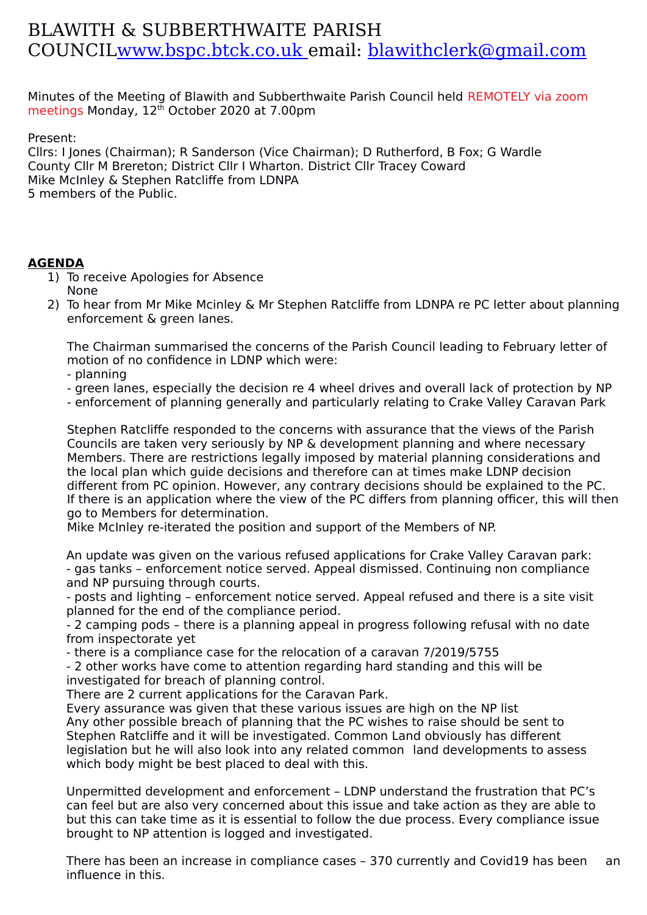## BLAWITH & SUBBERTHWAITE PARISH COUNCI[L www.bspc.btck.co.uk](http://www.bspc.btck.co.uk/) email: [blawithclerk@gmail.com](mailto:blawithclerk@gmail.com)

Minutes of the Meeting of Blawith and Subberthwaite Parish Council held REMOTELY via zoom meetings Monday, 12<sup>th</sup> October 2020 at 7.00pm

Present:

Cllrs: I Jones (Chairman); R Sanderson (Vice Chairman); D Rutherford, B Fox; G Wardle County Cllr M Brereton; District Cllr I Wharton. District Cllr Tracey Coward Mike McInley & Stephen Ratcliffe from LDNPA 5 members of the Public.

## **AGENDA**

- 1) To receive Apologies for Absence None
- 2) To hear from Mr Mike Mcinley & Mr Stephen Ratcliffe from LDNPA re PC letter about planning enforcement & green lanes.

The Chairman summarised the concerns of the Parish Council leading to February letter of motion of no confidence in LDNP which were:

- planning

- green lanes, especially the decision re 4 wheel drives and overall lack of protection by NP
- enforcement of planning generally and particularly relating to Crake Valley Caravan Park

Stephen Ratcliffe responded to the concerns with assurance that the views of the Parish Councils are taken very seriously by NP & development planning and where necessary Members. There are restrictions legally imposed by material planning considerations and the local plan which guide decisions and therefore can at times make LDNP decision different from PC opinion. However, any contrary decisions should be explained to the PC. If there is an application where the view of the PC differs from planning officer, this will then go to Members for determination.

Mike McInley re-iterated the position and support of the Members of NP.

An update was given on the various refused applications for Crake Valley Caravan park: - gas tanks – enforcement notice served. Appeal dismissed. Continuing non compliance and NP pursuing through courts.

- posts and lighting – enforcement notice served. Appeal refused and there is a site visit planned for the end of the compliance period.

- 2 camping pods – there is a planning appeal in progress following refusal with no date from inspectorate yet

- there is a compliance case for the relocation of a caravan 7/2019/5755

- 2 other works have come to attention regarding hard standing and this will be investigated for breach of planning control.

There are 2 current applications for the Caravan Park.

Every assurance was given that these various issues are high on the NP list Any other possible breach of planning that the PC wishes to raise should be sent to Stephen Ratcliffe and it will be investigated. Common Land obviously has different legislation but he will also look into any related common land developments to assess which body might be best placed to deal with this.

Unpermitted development and enforcement – LDNP understand the frustration that PC's can feel but are also very concerned about this issue and take action as they are able to but this can take time as it is essential to follow the due process. Every compliance issue brought to NP attention is logged and investigated.

There has been an increase in compliance cases – 370 currently and Covid19 has been an influence in this.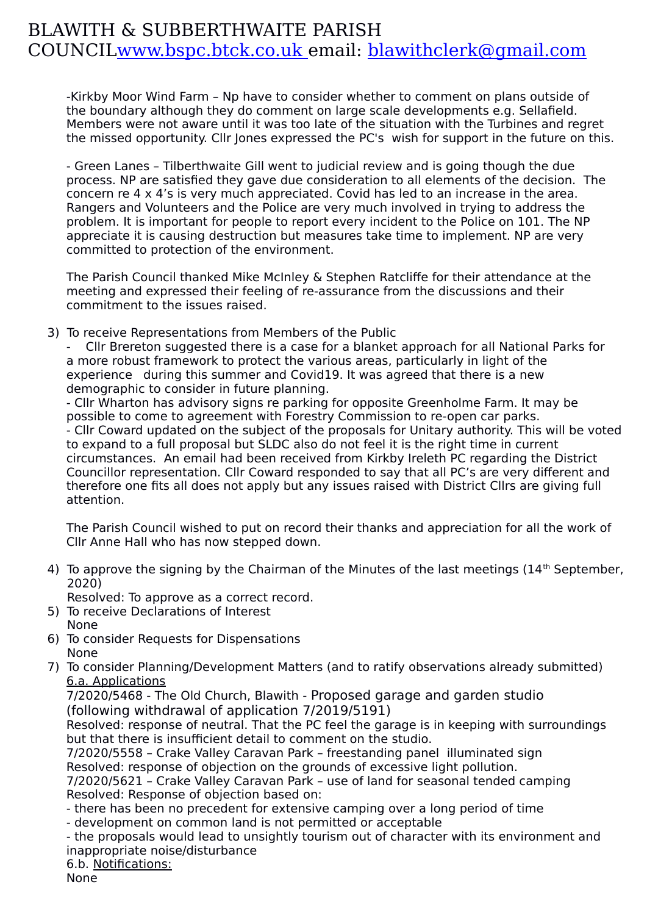## BLAWITH & SUBBERTHWAITE PARISH COUNCI[L www.bspc.btck.co.uk](http://www.bspc.btck.co.uk/) email: [blawithclerk@gmail.com](mailto:blawithclerk@gmail.com)

-Kirkby Moor Wind Farm – Np have to consider whether to comment on plans outside of the boundary although they do comment on large scale developments e.g. Sellafield. Members were not aware until it was too late of the situation with the Turbines and regret the missed opportunity. Cllr Jones expressed the PC's wish for support in the future on this.

- Green Lanes – Tilberthwaite Gill went to judicial review and is going though the due process. NP are satisfied they gave due consideration to all elements of the decision. The concern re 4 x 4's is very much appreciated. Covid has led to an increase in the area. Rangers and Volunteers and the Police are very much involved in trying to address the problem. It is important for people to report every incident to the Police on 101. The NP appreciate it is causing destruction but measures take time to implement. NP are very committed to protection of the environment.

The Parish Council thanked Mike McInley & Stephen Ratcliffe for their attendance at the meeting and expressed their feeling of re-assurance from the discussions and their commitment to the issues raised.

3) To receive Representations from Members of the Public

- Cllr Brereton suggested there is a case for a blanket approach for all National Parks for a more robust framework to protect the various areas, particularly in light of the experience during this summer and Covid19. It was agreed that there is a new demographic to consider in future planning.

- Cllr Wharton has advisory signs re parking for opposite Greenholme Farm. It may be possible to come to agreement with Forestry Commission to re-open car parks. - Cllr Coward updated on the subject of the proposals for Unitary authority. This will be voted to expand to a full proposal but SLDC also do not feel it is the right time in current circumstances. An email had been received from Kirkby Ireleth PC regarding the District Councillor representation. Cllr Coward responded to say that all PC's are very different and therefore one fits all does not apply but any issues raised with District Cllrs are giving full attention.

The Parish Council wished to put on record their thanks and appreciation for all the work of Cllr Anne Hall who has now stepped down.

4) To approve the signing by the Chairman of the Minutes of the last meetings  $(14<sup>th</sup>$  September, 2020)

Resolved: To approve as a correct record.

- 5) To receive Declarations of Interest None
- 6) To consider Requests for Dispensations None
- 
- 7) To consider Planning/Development Matters (and to ratify observations already submitted) 6.a. Applications

7/2020/5468 - The Old Church, Blawith - Proposed garage and garden studio (following withdrawal of application 7/2019/5191)

Resolved: response of neutral. That the PC feel the garage is in keeping with surroundings but that there is insufficient detail to comment on the studio.

7/2020/5558 – Crake Valley Caravan Park – freestanding panel illuminated sign Resolved: response of objection on the grounds of excessive light pollution.

7/2020/5621 – Crake Valley Caravan Park – use of land for seasonal tended camping Resolved: Response of objection based on:

- there has been no precedent for extensive camping over a long period of time

- development on common land is not permitted or acceptable

- the proposals would lead to unsightly tourism out of character with its environment and inappropriate noise/disturbance

6.b. Notifications:

None